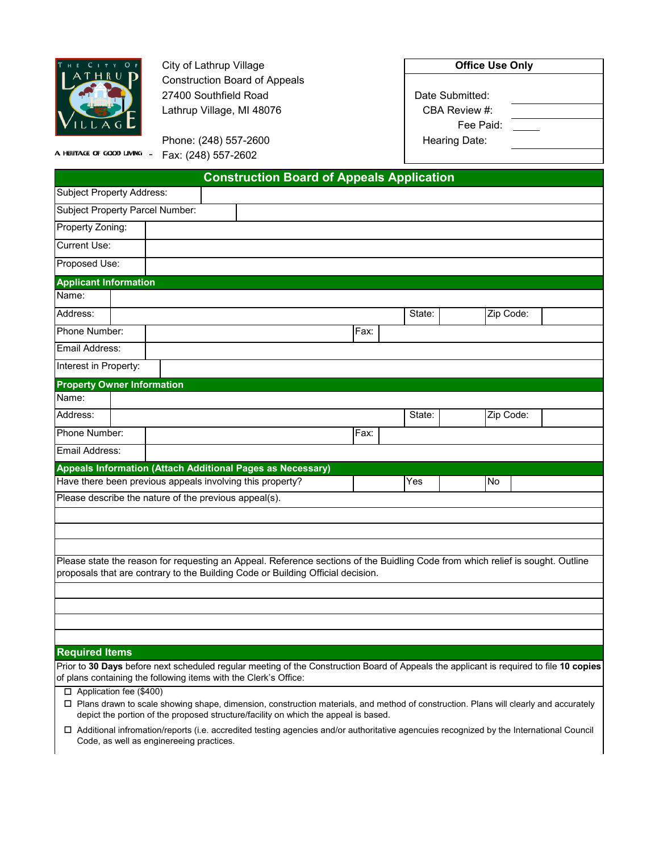

**City of Lathrup Village** Construction Board of Appeals 27400 Southfield Road Lathrup Village, MI 48076

Phone: (248) 557-2600

| Date Submitted: |  |
|-----------------|--|
| CBA Review #:   |  |
| Fee Paid:       |  |
| Hearing Date:   |  |

A HERITAGE OF GOOD LIVING  $\bar{\mathcal{L}}$ Fax: (248) 557-2602

|                                                           |  |  |  | <b>Construction Board of Appeals Application</b>                                                                                                                                                                  |      |        |           |  |
|-----------------------------------------------------------|--|--|--|-------------------------------------------------------------------------------------------------------------------------------------------------------------------------------------------------------------------|------|--------|-----------|--|
| <b>Subject Property Address:</b>                          |  |  |  |                                                                                                                                                                                                                   |      |        |           |  |
| Subject Property Parcel Number:                           |  |  |  |                                                                                                                                                                                                                   |      |        |           |  |
| Property Zoning:                                          |  |  |  |                                                                                                                                                                                                                   |      |        |           |  |
| <b>Current Use:</b>                                       |  |  |  |                                                                                                                                                                                                                   |      |        |           |  |
| Proposed Use:                                             |  |  |  |                                                                                                                                                                                                                   |      |        |           |  |
| <b>Applicant Information</b>                              |  |  |  |                                                                                                                                                                                                                   |      |        |           |  |
| Name:                                                     |  |  |  |                                                                                                                                                                                                                   |      |        |           |  |
| Address:                                                  |  |  |  |                                                                                                                                                                                                                   |      | State: | Zip Code: |  |
| Phone Number:                                             |  |  |  |                                                                                                                                                                                                                   | Fax: |        |           |  |
| Email Address:                                            |  |  |  |                                                                                                                                                                                                                   |      |        |           |  |
| Interest in Property:                                     |  |  |  |                                                                                                                                                                                                                   |      |        |           |  |
| <b>Property Owner Information</b>                         |  |  |  |                                                                                                                                                                                                                   |      |        |           |  |
| Name:                                                     |  |  |  |                                                                                                                                                                                                                   |      |        |           |  |
| Address:                                                  |  |  |  |                                                                                                                                                                                                                   |      | State: | Zip Code: |  |
| Phone Number:                                             |  |  |  |                                                                                                                                                                                                                   | Fax: |        |           |  |
| Email Address:                                            |  |  |  |                                                                                                                                                                                                                   |      |        |           |  |
|                                                           |  |  |  | Appeals Information (Attach Additional Pages as Necessary)                                                                                                                                                        |      |        |           |  |
| Have there been previous appeals involving this property? |  |  |  |                                                                                                                                                                                                                   | Yes  | No     |           |  |
| Please describe the nature of the previous appeal(s).     |  |  |  |                                                                                                                                                                                                                   |      |        |           |  |
|                                                           |  |  |  |                                                                                                                                                                                                                   |      |        |           |  |
|                                                           |  |  |  |                                                                                                                                                                                                                   |      |        |           |  |
|                                                           |  |  |  |                                                                                                                                                                                                                   |      |        |           |  |
|                                                           |  |  |  | Please state the reason for requesting an Appeal. Reference sections of the Buidling Code from which relief is sought. Outline<br>proposals that are contrary to the Building Code or Building Official decision. |      |        |           |  |
|                                                           |  |  |  |                                                                                                                                                                                                                   |      |        |           |  |
|                                                           |  |  |  |                                                                                                                                                                                                                   |      |        |           |  |
|                                                           |  |  |  |                                                                                                                                                                                                                   |      |        |           |  |
|                                                           |  |  |  |                                                                                                                                                                                                                   |      |        |           |  |

## **Required Items**

Prior to **30 Days** before next scheduled regular meeting of the Construction Board of Appeals the applicant is required to file **10 copies**  of plans containing the following items with the Clerk's Office:

- □ Application fee (\$400)
- Plans drawn to scale showing shape, dimension, construction materials, and method of construction. Plans will clearly and accurately depict the portion of the proposed structure/facility on which the appeal is based.
- Additional infromation/reports (i.e. accredited testing agencies and/or authoritative agencuies recognized by the International Council Code, as well as enginereeing practices.